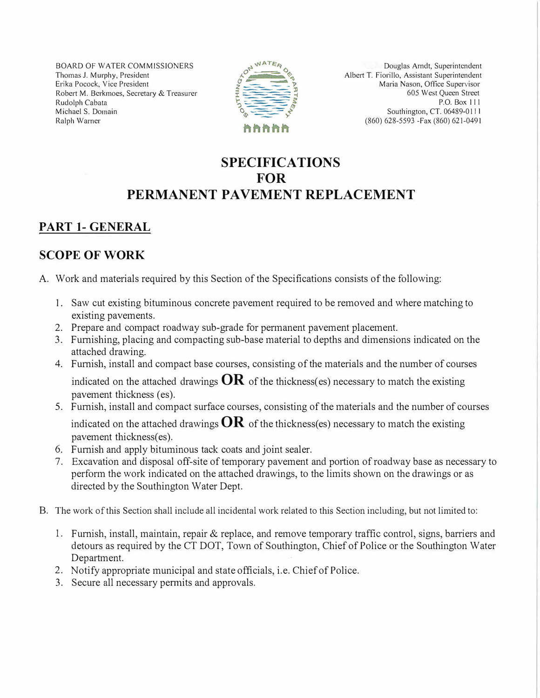BOARD OF WATER COMMISSIONERS Thomas J. Murphy, President Erika Pocock, Vice President Robert M. Berkmoes, Secretary & Treasurer Rudolph Cabata Michael S. Domain Ralph Warner



Douglas Arndt, Superintendent Albert T. Fiorillo, Assistant Superintendent Maria Nason, Office Supervisor 605 West Queen Street P.O. Box 111 Southington, CT. 06489-011 I (860) 628-5593 -Fax (860) 621-0491

## **SPECIFICATIONS FOR PERMANENT PAVEMENT REPLACEMENT**

# **PART I-GENERAL**

### **SCOPE OF WORK**

- A. Work and materials required by this Section of the Specifications consists of the following:
	- 1. Saw cut existing bituminous concrete pavement required to be removed and where matching to existing pavements.
	- 2. Prepare and compact roadway sub-grade for permanent pavement placement.
	- 3. Furnishing, placing and compacting sub-base material to depths and dimensions indicated on the attached drawing.
	- 4. Furnish, install and compact base courses, consisting of the materials and the number of courses indicated on the attached drawings  $OR$  of the thickness(es) necessary to match the existing pavement thickness (es).
	- 5. Furnish, install and compact surface courses, consisting of the materials and the number of courses indicated on the attached drawings  $OR$  of the thickness(es) necessary to match the existing pavement thickness(es).
	- 6. Furnish and apply bituminous tack coats and joint sealer.
	- 7. Excavation and disposal off-site of temporary pavement and portion of roadway base as necessary to perform the work indicated on the attached drawings, to the limits shown on the drawings or as directed by the Southington Water Dept.
- B. The work of this Section shall include all incidental work related to this Section including, but not limited to:
	- 1. Furnish, install, maintain, repair & replace, and remove temporary traffic control, signs, barriers and detours as required by the CT DOT, Town of Southington, Chief of Police or the Southington Water Department.
	- 2. Notify appropriate municipal and state officials, i.e. Chief of Police.
	- 3. Secure all necessary pennits and approvals.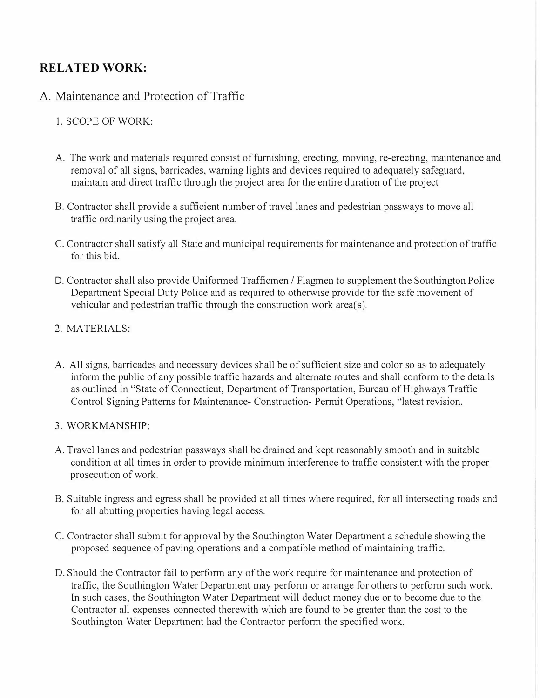### **RELATED WORK:**

### A. Maintenance and Protection of Traffic

### 1. SCOPE OF WORK:

- A. The work and materials required consist of furnishing, erecting, moving, re-erecting, maintenance and removal of all signs, barricades, warning lights and devices required to adequately safeguard, maintain and direct traffic through the project area for the entire duration of the project
- B. Contractor shall provide a sufficient number of travel lanes and pedestrian passways to move all traffic ordinarily using the project area.
- C. Contractor shall satisfy all State and municipal requirements for maintenance and protection of traffic for this bid.
- D. Contractor shall also provide Unifonned Trafficmen / Flagmen to supplement the Southington Police Department Special Duty Police and as required to otherwise provide for the safe movement of vehicular and pedestrian traffic through the construction work area(s).
- 2. MATERIALS:
- A. All signs, barricades and necessary devices shall be of sufficient size and color so as to adequately inform the public of any possible traffic hazards and alternate routes and shall conform to the details as outlined in "State of Connecticut, Department of Transportation, Bureau of Highways Traffic Control Signing Patterns for Maintenance- Construction- Permit Operations, "latest revision.
- 3. WORKMANSHIP:
- A. Travel lanes and pedestrian passways shall be drained and kept reasonably smooth and in suitable condition at all times in order to provide minimum interference to traffic consistent with the proper prosecution of work.
- B. Suitable ingress and egress shall be provided at all times where required, for all intersecting roads and for all abutting properties having legal access.
- C. Contractor shall submit for approval by the Southington Water Department a schedule showing the proposed sequence of paving operations and a compatible method of maintaining traffic.
- D. Should the Contractor fail to perfonn any of the work require for maintenance and protection of traffic, the Southington Water Department may perform or arrange for others to perform such work. In such cases, the Southington Water Department will deduct money due or to become due to the Contractor all expenses connected therewith which are found to be greater than the cost to the Southington Water Department had the Contractor perform the specified work.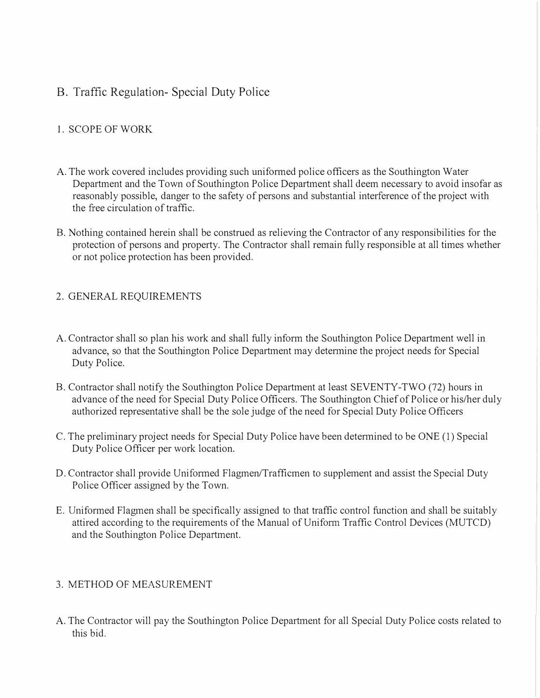### B. Traffic Regulation- Special Duty Police

### 1. SCOPE OF WORK

- A. The work covered includes providing such uniformed police officers as the Southington Water Department and the Town of Southington Police Department shall deem necessary to avoid insofar as reasonably possible, danger to the safety of persons and substantial interference of the project with the free circulation of traffic.
- B. Nothing contained herein shall be construed as relieving the Contractor of any responsibilities for the protection of persons and property. The Contractor shall remain fully responsible at all times whether or not police protection has been provided.

### 2. GENERAL REQUIREMENTS

- A. Contractor shall so plan his work and shall fully inform the Southington Police Department well in advance, so that the Southington Police Department may determine the project needs for Special Duty Police.
- B. Contractor shall notify the Southington Police Department at least SEVENTY-TWO (72) hours in advance of the need for Special Duty Police Officers. The Southington Chief of Police or his/her duly authorized representative shall be the sole judge of the need for Special Duty Police Officers
- C. The preliminary project needs for Special Duty Police have been determined to be ONE (1) Special Duty Police Officer per work location.
- D. Contractor shall provide Uniformed Flagmen/Trafficmen to supplement and assist the Special Duty Police Officer assigned by the Town.
- E. Uniformed Flagmen shall be specifically assigned to that traffic control function and shall be suitably attired according to the requirements of the Manual of Uniform Traffic Control Devices (MUTCD) and the Southington Police Department.

### 3. METHOD OF MEASUREMENT

A. The Contractor will pay the Southington Police Department for all Special Duty Police costs related to this bid.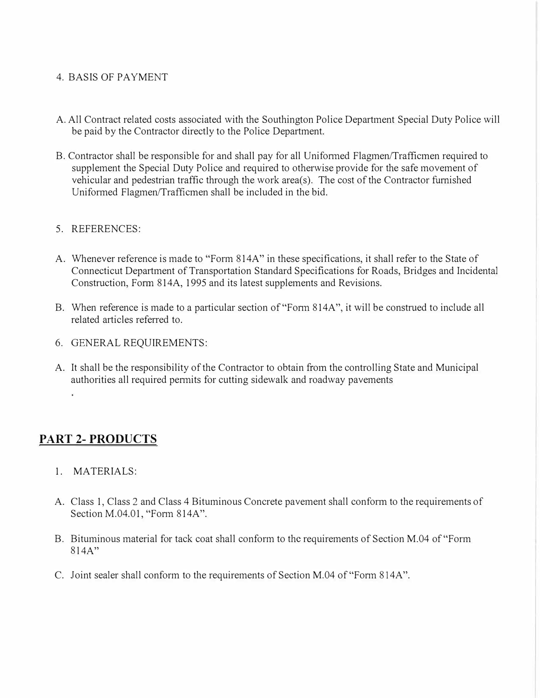### 4. BASIS OF PAYMENT

- A. All Contract related costs associated with the Southington Police Department Special Duty Police will be paid by the Contractor directly to the Police Department.
- B. Contractor shall be responsible for and shall pay for all Unifonned Flagmen/Trafficmen required to supplement the Special Duty Police and required to otherwise provide for the safe movement of vehicular and pedestrian traffic through the work area(s). The cost of the Contractor furnished Uniformed Flagmen/Trafficmen shall be included in the bid.

### 5. REFERENCES:

- A. Whenever reference is made to "Form 814A" in these specifications, it shall refer to the State of Connecticut Department of Transportation Standard Specifications for Roads, Bridges and Incidental Construction, Form 814A, 1995 and its latest supplements and Revisions.
- B. When reference is made to a particular section of "Form 814A", it will be construed to include all related articles referred to.
- 6. GENERAL REQUIREMENTS:
- A. It shall be the responsibility of the Contractor to obtain from the controlling State and Municipal authorities all required pennits for cutting sidewalk and roadway pavements

## **PART 2- PRODUCTS**

- 1. MATERIALS:
- A. Class 1, Class 2 and Class 4 Bituminous Concrete pavement shall conform to the requirements of Section M.04.01, "Fonn 814A".
- B. Bituminous material for tack coat shall conform to the requirements of Section M.04 of "Form  $814A"$
- C. Joint sealer shall conform to the requirements of Section M.04 of "Fonn 814A".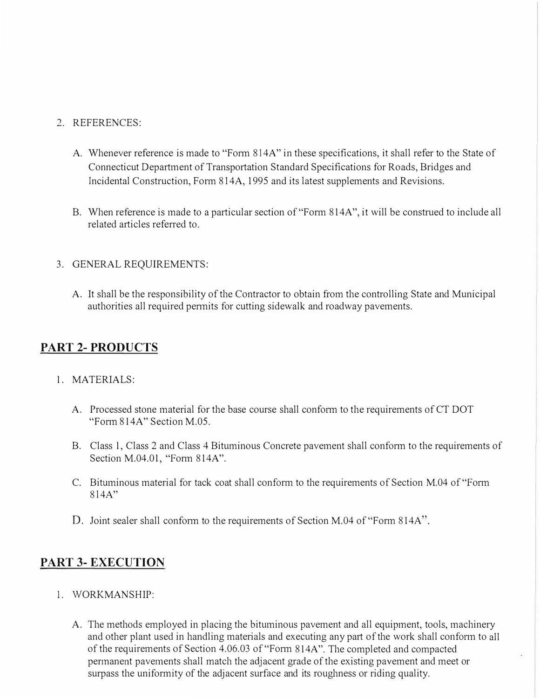#### 2. REFERENCES:

- A. Whenever reference is made to "Form 814A" in these specifications, it shall refer to the State of Connecticut Department of Transportation Standard Specifications for Roads, Bridges and Incidental Construction, Form 814A, 1995 and its latest supplements and Revisions.
- B. When reference is made to a particular section of "Form 814A", it will be construed to include all related articles referred to.

### 3. GENERAL REQUIREMENTS:

A. It shall be the responsibility of the Contractor to obtain from the controlling State and Municipal authorities all required pennits for cutting sidewalk and roadway pavements.

## **PART 2- PRODUCTS**

### 1. MATERIALS:

- A. Processed stone material for the base course shall conform to the requirements of CT DOT "Fonn 814A" Section M.05.
- B. Class 1, Class 2 and Class 4 Bituminous Concrete pavement shall conform to the requirements of Section M.04.01, "Form 814A".
- C. Bituminous material for tack coat shall conform to the requirements of Section M.04 of "Fonn 8 l 4A"
- D. Joint sealer shall conform to the requirements of Section M.04 of "Form 814A".

## **PART 3- EXECUTION**

- 1. WORKMANSHIP:
	- A. The methods employed in placing the bituminous pavement and all equipment, tools, machinery and other plant used in handling materials and executing any part of the work shall conform to all of the requirements of Section 4.06.03 of"Fonn 814A". The completed and compacted permanent pavements shall match the adjacent grade of the existing pavement and meet or surpass the uniformity of the adjacent surface and its roughness or riding quality.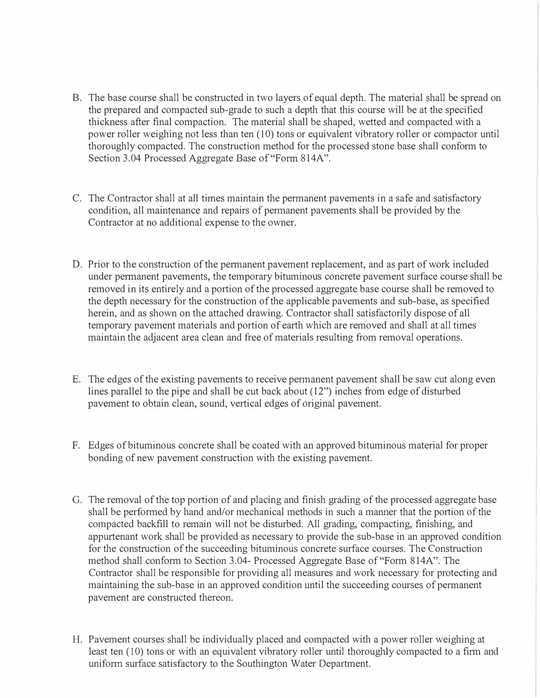- B. The base course shall be constructed in two layers of equal depth. The material shall be spread on the prepared and compacted sub-grade to such a depth that this course will be at the specified thickness after final compaction. The material shall be shaped, wetted and compacted with a power roller weighing not less than ten (10) tons or equivalent vibratory roller or compactor until thoroughly compacted. The construction method for the processed stone base shall conform to Section 3.04 Processed Aggregate Base of "Form 814A".
- C. The Contractor shall at all times maintain the permanent pavements in a safe and satisfactory condition, all maintenance and repairs of permanent pavements shall be provided by the Contractor at no additional expense to the owner.
- D. Prior to the construction of the permanent pavement replacement, and as part of work included under permanent pavements, the temporary bituminous concrete pavement surface course shall be removed in its entirely and a portion of the processed aggregate base course shall be removed to the depth necessary for the construction of the applicable pavements and sub-base, as specified herein, and as shown on the attached drawing. Contractor shall satisfactorily dispose of all temporary pavement materials and portion of earth which are removed and shall at all times maintain the adjacent area clean and free of materials resulting from removal operations.
- E. The edges of the existing pavements to receive permanent pavement shall be saw cut along even lines parallel to the pipe and shall be cut back about (12") inches from edge of disturbed pavement to obtain clean, sound, vertical edges of original pavement.
- F. Edges of bituminous concrete shall be coated with an approved bituminous material for proper bonding of new pavement construction with the existing pavement.
- G. The removal of the top portion of and placing and finish grading of the processed aggregate base shall be performed by hand and/or mechanical methods in such a manner that the portion of the compacted backfill to remain will not be disturbed. All grading, compacting, finishing, and appurtenant work shall be provided as necessary to provide the sub-base in an approved condition for the construction of the succeeding bituminous concrete surface courses. The Construction method shall conform to Section 3.04- Processed Aggregate Base of"Form 814A". The Contractor shall be responsible for providing all measures and work necessary for protecting and maintaining the sub-base in an approved condition until the succeeding courses of permanent pavement are constructed thereon.
- H. Pavement courses shall be individually placed and compacted with a power roller weighing at least ten (10) tons or with an equivalent vibratory roller until thoroughly compacted to a firm and uniform surface satisfactory to the Southington Water Department.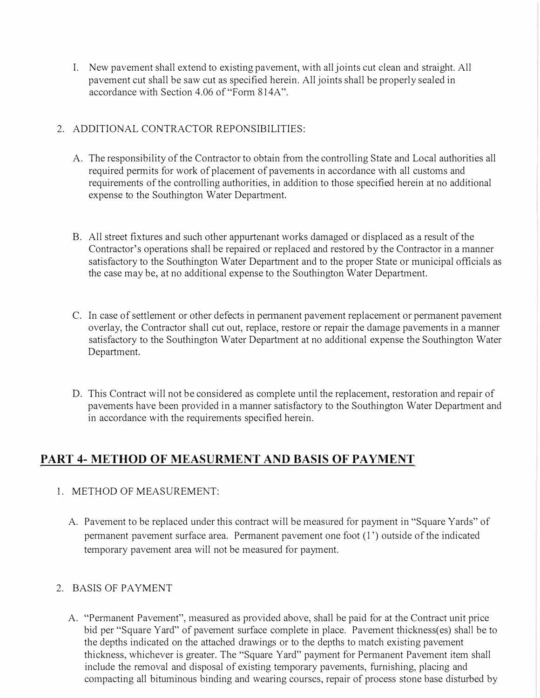I. New pavement shall extend to existing pavement, with all joints cut clean and straight. All pavement cut shall be saw cut as specified herein. All joints shall be properly sealed in accordance with Section 4.06 of"Form 814A".

### 2. ADDITIONAL CONTRACTOR REPONSIBILITIES:

- A. The responsibility of the Contractor to obtain from the controlling State and Local authorities all required permits for work of placement of pavements in accordance with all customs and requirements of the controlling authorities, in addition to those specified herein at no additional expense to the Southington Water Department.
- B. All street fixtures and such other appurtenant works damaged or displaced as a result of the Contractor's operations shall be repaired or replaced and restored by the Contractor in a manner satisfactory to the Southington Water Department and to the proper State or municipal officials as the case may be, at no additional expense to the Southington Water Department.
- C. In case of settlement or other defects in pennanent pavement replacement or permanent pavement overlay, the Contractor shall cut out, replace, restore or repair the damage pavements in a manner satisfactory to the Southington Water Department at no additional expense the Southington Water Department.
- D. This Contract will not be considered as complete until the replacement, restoration and repair of pavements have been provided in a manner satisfactory to the Southington Water Department and in accordance with the requirements specified herein.

# **PART 4- METHOD OF MEASURMENT AND BASIS OF PAYMENT**

### I. METHOD OF MEASUREMENT:

A. Pavement to be replaced under this contract will be measured for payment in "Square Yards" of permanent pavement surface area. Pennanent pavement one foot (l ') outside of the indicated temporary pavement area will not be measured for payment.

### 2. BASIS OF PAYMENT

A. "Permanent Pavement", measured as provided above, shall be paid for at the Contract unit price bid per "Square Yard" of pavement surface complete in place. Pavement thickness(es) shall be to the depths indicated on the attached drawings or to the depths to match existing pavement thickness, whichever is greater. The "Square Yard" payment for Permanent Pavement item shall include the removal and disposal of existing temporary pavements, furnishing, placing and compacting all bituminous binding and wearing courses, repair of process stone base disturbed by